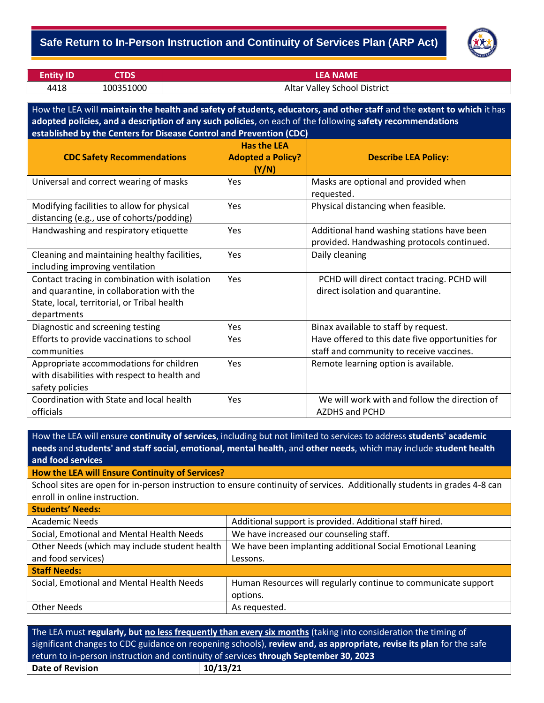### **Safe Return to In-Person Instruction and Continuity of Services Plan (ARP Act)**



| <b>Entity ID</b> | <b>STDS</b> | <b>LEA NAME</b>              |
|------------------|-------------|------------------------------|
| 4418             | 100351000   | Altar Valley School District |

How the LEA will **maintain the health and safety of students, educators, and other staff** and the **extent to which** it has **adopted policies, and a description of any such policies**, on each of the following **safety recommendations established by the Centers for Disease Control and Prevention (CDC)**

| <b>CDC Safety Recommendations</b>                                                                                                                        | <b>Has the LEA</b><br><b>Adopted a Policy?</b><br>(Y/N) | <b>Describe LEA Policy:</b>                                                                  |
|----------------------------------------------------------------------------------------------------------------------------------------------------------|---------------------------------------------------------|----------------------------------------------------------------------------------------------|
| Universal and correct wearing of masks                                                                                                                   | Yes                                                     | Masks are optional and provided when<br>requested.                                           |
| Modifying facilities to allow for physical<br>distancing (e.g., use of cohorts/podding)                                                                  | Yes                                                     | Physical distancing when feasible.                                                           |
| Handwashing and respiratory etiquette                                                                                                                    | Yes                                                     | Additional hand washing stations have been<br>provided. Handwashing protocols continued.     |
| Cleaning and maintaining healthy facilities,<br>including improving ventilation                                                                          | Yes                                                     | Daily cleaning                                                                               |
| Contact tracing in combination with isolation<br>and quarantine, in collaboration with the<br>State, local, territorial, or Tribal health<br>departments | Yes                                                     | PCHD will direct contact tracing. PCHD will<br>direct isolation and quarantine.              |
| Diagnostic and screening testing                                                                                                                         | Yes                                                     | Binax available to staff by request.                                                         |
| Efforts to provide vaccinations to school<br>communities                                                                                                 | Yes                                                     | Have offered to this date five opportunities for<br>staff and community to receive vaccines. |
| Appropriate accommodations for children<br>with disabilities with respect to health and<br>safety policies                                               | Yes                                                     | Remote learning option is available.                                                         |
| Coordination with State and local health<br>officials                                                                                                    | Yes                                                     | We will work with and follow the direction of<br><b>AZDHS and PCHD</b>                       |

How the LEA will ensure **continuity of services**, including but not limited to services to address **students' academic needs** and **students' and staff social, emotional, mental health**, and **other needs**, which may include **student health and food services**

**How the LEA will Ensure Continuity of Services?**

School sites are open for in-person instruction to ensure continuity of services. Additionally students in grades 4-8 can enroll in online instruction.

| <b>Students' Needs:</b>                       |                                                                |  |  |  |
|-----------------------------------------------|----------------------------------------------------------------|--|--|--|
| <b>Academic Needs</b>                         | Additional support is provided. Additional staff hired.        |  |  |  |
| Social, Emotional and Mental Health Needs     | We have increased our counseling staff.                        |  |  |  |
| Other Needs (which may include student health | We have been implanting additional Social Emotional Leaning    |  |  |  |
| and food services)                            | Lessons.                                                       |  |  |  |
| <b>Staff Needs:</b>                           |                                                                |  |  |  |
| Social, Emotional and Mental Health Needs     | Human Resources will regularly continue to communicate support |  |  |  |
|                                               | options.                                                       |  |  |  |
| <b>Other Needs</b>                            | As requested.                                                  |  |  |  |
|                                               |                                                                |  |  |  |

The LEA must **regularly, but no less frequently than every six months** (taking into consideration the timing of significant changes to CDC guidance on reopening schools), **review and, as appropriate, revise its plan** for the safe return to in-person instruction and continuity of services **through September 30, 2023 Date of Revision 10/13/21**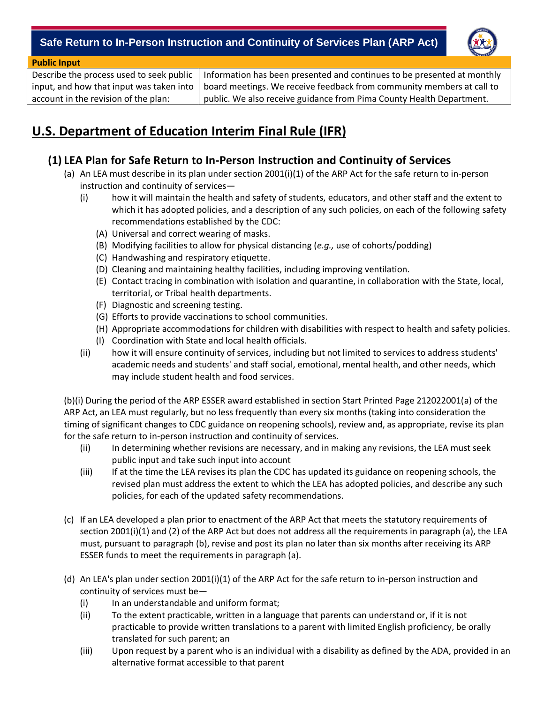## - **Safe Return to In-Person Instruction and Continuity of Services Plan (ARP Act)**



#### **Public Input**

Describe the process used to seek public input, and how that input was taken into account in the revision of the plan:

Information has been presented and continues to be presented at monthly board meetings. We receive feedback from community members at call to public. We also receive guidance from Pima County Health Department.

# **U.S. Department of Education Interim Final Rule (IFR)**

## **(1) LEA Plan for Safe Return to In-Person Instruction and Continuity of Services**

- (a) An LEA must describe in its plan under section 2001(i)(1) of the ARP Act for the safe return to in-person instruction and continuity of services—
	- (i) how it will maintain the health and safety of students, educators, and other staff and the extent to which it has adopted policies, and a description of any such policies, on each of the following safety recommendations established by the CDC:
		- (A) Universal and correct wearing of masks.
		- (B) Modifying facilities to allow for physical distancing (*e.g.,* use of cohorts/podding)
		- (C) Handwashing and respiratory etiquette.
		- (D) Cleaning and maintaining healthy facilities, including improving ventilation.
		- (E) Contact tracing in combination with isolation and quarantine, in collaboration with the State, local, territorial, or Tribal health departments.
		- (F) Diagnostic and screening testing.
		- (G) Efforts to provide vaccinations to school communities.
		- (H) Appropriate accommodations for children with disabilities with respect to health and safety policies.
		- (I) Coordination with State and local health officials.
	- (ii) how it will ensure continuity of services, including but not limited to services to address students' academic needs and students' and staff social, emotional, mental health, and other needs, which may include student health and food services.

(b)(i) During the period of the ARP ESSER award established in section Start Printed Page 212022001(a) of the ARP Act, an LEA must regularly, but no less frequently than every six months (taking into consideration the timing of significant changes to CDC guidance on reopening schools), review and, as appropriate, revise its plan for the safe return to in-person instruction and continuity of services.

- (ii) In determining whether revisions are necessary, and in making any revisions, the LEA must seek public input and take such input into account
- (iii) If at the time the LEA revises its plan the CDC has updated its guidance on reopening schools, the revised plan must address the extent to which the LEA has adopted policies, and describe any such policies, for each of the updated safety recommendations.
- (c) If an LEA developed a plan prior to enactment of the ARP Act that meets the statutory requirements of section 2001(i)(1) and (2) of the ARP Act but does not address all the requirements in paragraph (a), the LEA must, pursuant to paragraph (b), revise and post its plan no later than six months after receiving its ARP ESSER funds to meet the requirements in paragraph (a).
- (d) An LEA's plan under section 2001(i)(1) of the ARP Act for the safe return to in-person instruction and continuity of services must be—
	- (i) In an understandable and uniform format;
	- (ii) To the extent practicable, written in a language that parents can understand or, if it is not practicable to provide written translations to a parent with limited English proficiency, be orally translated for such parent; an
	- (iii) Upon request by a parent who is an individual with a disability as defined by the ADA, provided in an alternative format accessible to that parent